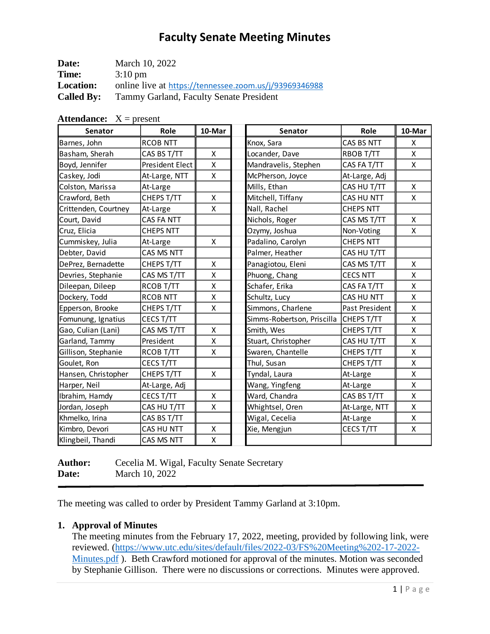| Date:             | March 10, 2022                                         |
|-------------------|--------------------------------------------------------|
| Time:             | $3:10 \text{ pm}$                                      |
| <b>Location:</b>  | online live at https://tennessee.zoom.us/j/93969346988 |
| <b>Called By:</b> | Tammy Garland, Faculty Senate President                |

| <b>Senator</b>       | Role             | 10-Mar | Senator                    | Role             | 10-Mar |
|----------------------|------------------|--------|----------------------------|------------------|--------|
| Barnes, John         | <b>RCOB NTT</b>  |        | Knox, Sara                 | CAS BS NTT       | X      |
| Basham, Sherah       | CAS BS T/TT      | X      | Locander, Dave             | RBOB T/TT        | X      |
| Boyd, Jennifer       | President Elect  | X      | Mandravelis, Stephen       | CAS FA T/TT      | X      |
| Caskey, Jodi         | At-Large, NTT    | X      | McPherson, Joyce           | At-Large, Adj    |        |
| Colston, Marissa     | At-Large         |        | Mills, Ethan               | CAS HU T/TT      | X      |
| Crawford, Beth       | CHEPS T/TT       | x      | Mitchell, Tiffany          | CAS HU NTT       | X      |
| Crittenden, Courtney | At-Large         | X      | Nall, Rachel               | <b>CHEPS NTT</b> |        |
| Court, David         | CAS FA NTT       |        | Nichols, Roger             | CAS MS T/TT      | X      |
| Cruz, Elicia         | <b>CHEPS NTT</b> |        | Ozymy, Joshua              | Non-Voting       | X      |
| Cummiskey, Julia     | At-Large         | X      | Padalino, Carolyn          | <b>CHEPS NTT</b> |        |
| Debter, David        | CAS MS NTT       |        | Palmer, Heather            | CAS HU T/TT      |        |
| DePrez, Bernadette   | CHEPS T/TT       | X      | Panagiotou, Eleni          | CAS MS T/TT      | X      |
| Devries, Stephanie   | CAS MS T/TT      | Χ      | Phuong, Chang              | <b>CECS NTT</b>  | X      |
| Dileepan, Dileep     | RCOB T/TT        | Χ      | Schafer, Erika             | CAS FA T/TT      | X      |
| Dockery, Todd        | <b>RCOB NTT</b>  | x      | Schultz, Lucy              | CAS HU NTT       | X      |
| Epperson, Brooke     | CHEPS T/TT       | X      | Simmons, Charlene          | Past President   | X      |
| Fomunung, Ignatius   | CECS T/TT        |        | Simms-Robertson, Priscilla | CHEPS T/TT       | X      |
| Gao, Culian (Lani)   | CAS MS T/TT      | X      | Smith, Wes                 | CHEPS T/TT       | X      |
| Garland, Tammy       | President        | x      | Stuart, Christopher        | CAS HU T/TT      | X      |
| Gillison, Stephanie  | RCOB T/TT        | Χ      | Swaren, Chantelle          | CHEPS T/TT       | X      |
| Goulet, Ron          | CECS T/TT        |        | Thul, Susan                | CHEPS T/TT       | X      |
| Hansen, Christopher  | CHEPS T/TT       | X      | Tyndal, Laura              | At-Large         | Χ      |
| Harper, Neil         | At-Large, Adj    |        | Wang, Yingfeng             | At-Large         | X      |
| Ibrahim, Hamdy       | CECS T/TT        | X.     | Ward, Chandra              | CAS BS T/TT      | X      |
| Jordan, Joseph       | CAS HU T/TT      | X      | Whightsel, Oren            | At-Large, NTT    | X      |
| Khmelko, Irina       | CAS BS T/TT      |        | Wigal, Cecelia             | At-Large         | X      |
| Kimbro, Devori       | CAS HU NTT       | X      | Xie, Mengjun               | CECS T/TT        | X      |
| Klingbeil, Thandi    | CAS MS NTT       | X      |                            |                  |        |

**Attendance:**  $X =$  present

**Author:** Cecelia M. Wigal, Faculty Senate Secretary **Date:** March 10, 2022

The meeting was called to order by President Tammy Garland at 3:10pm.

#### **1. Approval of Minutes**

The meeting minutes from the February 17, 2022, meeting, provided by following link, were reviewed. [\(https://www.utc.edu/sites/default/files/2022-03/FS%20Meeting%202-17-2022-](https://www.utc.edu/sites/default/files/2022-03/FS%20Meeting%202-17-2022-Minutes.pdf) [Minutes.pdf](https://www.utc.edu/sites/default/files/2022-03/FS%20Meeting%202-17-2022-Minutes.pdf) ). Beth Crawford motioned for approval of the minutes. Motion was seconded by Stephanie Gillison. There were no discussions or corrections. Minutes were approved.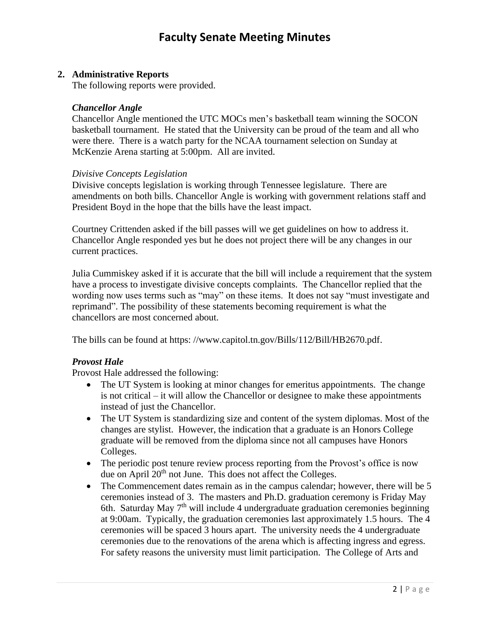## **2. Administrative Reports**

The following reports were provided.

### *Chancellor Angle*

Chancellor Angle mentioned the UTC MOCs men's basketball team winning the SOCON basketball tournament. He stated that the University can be proud of the team and all who were there. There is a watch party for the NCAA tournament selection on Sunday at McKenzie Arena starting at 5:00pm. All are invited.

#### *Divisive Concepts Legislation*

Divisive concepts legislation is working through Tennessee legislature. There are amendments on both bills. Chancellor Angle is working with government relations staff and President Boyd in the hope that the bills have the least impact.

Courtney Crittenden asked if the bill passes will we get guidelines on how to address it. Chancellor Angle responded yes but he does not project there will be any changes in our current practices.

Julia Cummiskey asked if it is accurate that the bill will include a requirement that the system have a process to investigate divisive concepts complaints. The Chancellor replied that the wording now uses terms such as "may" on these items. It does not say "must investigate and reprimand". The possibility of these statements becoming requirement is what the chancellors are most concerned about.

The bills can be found at https: //www.capitol.tn.gov/Bills/112/Bill/HB2670.pdf.

## *Provost Hale*

Provost Hale addressed the following:

- The UT System is looking at minor changes for emeritus appointments. The change is not critical – it will allow the Chancellor or designee to make these appointments instead of just the Chancellor.
- The UT System is standardizing size and content of the system diplomas. Most of the changes are stylist. However, the indication that a graduate is an Honors College graduate will be removed from the diploma since not all campuses have Honors Colleges.
- The periodic post tenure review process reporting from the Provost's office is now due on April 20<sup>th</sup> not June. This does not affect the Colleges.
- The Commencement dates remain as in the campus calendar; however, there will be 5 ceremonies instead of 3. The masters and Ph.D. graduation ceremony is Friday May 6th. Saturday May 7<sup>th</sup> will include 4 undergraduate graduation ceremonies beginning at 9:00am. Typically, the graduation ceremonies last approximately 1.5 hours. The 4 ceremonies will be spaced 3 hours apart. The university needs the 4 undergraduate ceremonies due to the renovations of the arena which is affecting ingress and egress. For safety reasons the university must limit participation. The College of Arts and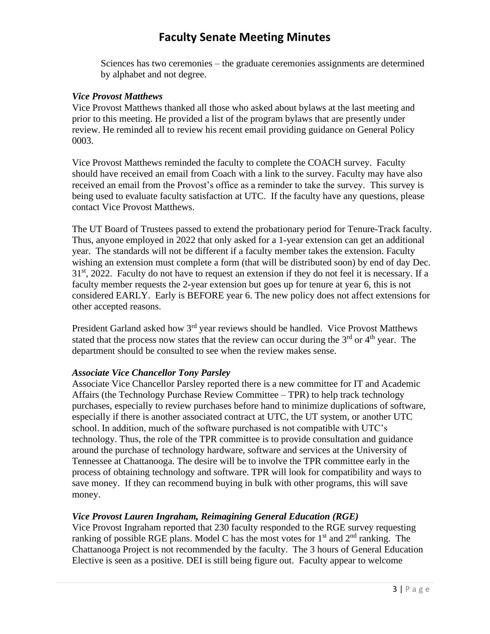Sciences has two ceremonies – the graduate ceremonies assignments are determined by alphabet and not degree.

### *Vice Provost Matthews*

Vice Provost Matthews thanked all those who asked about bylaws at the last meeting and prior to this meeting. He provided a list of the program bylaws that are presently under review. He reminded all to review his recent email providing guidance on General Policy 0003.

Vice Provost Matthews reminded the faculty to complete the COACH survey. Faculty should have received an email from Coach with a link to the survey. Faculty may have also received an email from the Provost's office as a reminder to take the survey. This survey is being used to evaluate faculty satisfaction at UTC. If the faculty have any questions, please contact Vice Provost Matthews.

The UT Board of Trustees passed to extend the probationary period for Tenure-Track faculty. Thus, anyone employed in 2022 that only asked for a 1-year extension can get an additional year. The standards will not be different if a faculty member takes the extension. Faculty wishing an extension must complete a form (that will be distributed soon) by end of day Dec.  $31<sup>st</sup>$ , 2022. Faculty do not have to request an extension if they do not feel it is necessary. If a faculty member requests the 2-year extension but goes up for tenure at year 6, this is not considered EARLY. Early is BEFORE year 6. The new policy does not affect extensions for other accepted reasons.

President Garland asked how 3<sup>rd</sup> year reviews should be handled. Vice Provost Matthews stated that the process now states that the review can occur during the  $3<sup>rd</sup>$  or  $4<sup>th</sup>$  year. The department should be consulted to see when the review makes sense.

## *Associate Vice Chancellor Tony Parsley*

Associate Vice Chancellor Parsley reported there is a new committee for IT and Academic Affairs (the Technology Purchase Review Committee – TPR) to help track technology purchases, especially to review purchases before hand to minimize duplications of software, especially if there is another associated contract at UTC, the UT system, or another UTC school. In addition, much of the software purchased is not compatible with UTC's technology. Thus, the role of the TPR committee is to provide consultation and guidance around the purchase of technology hardware, software and services at the University of Tennessee at Chattanooga. The desire will be to involve the TPR committee early in the process of obtaining technology and software. TPR will look for compatibility and ways to save money. If they can recommend buying in bulk with other programs, this will save money.

## *Vice Provost Lauren Ingraham, Reimagining General Education (RGE)*

Vice Provost Ingraham reported that 230 faculty responded to the RGE survey requesting ranking of possible RGE plans. Model C has the most votes for  $1<sup>st</sup>$  and  $2<sup>nd</sup>$  ranking. The Chattanooga Project is not recommended by the faculty. The 3 hours of General Education Elective is seen as a positive. DEI is still being figure out. Faculty appear to welcome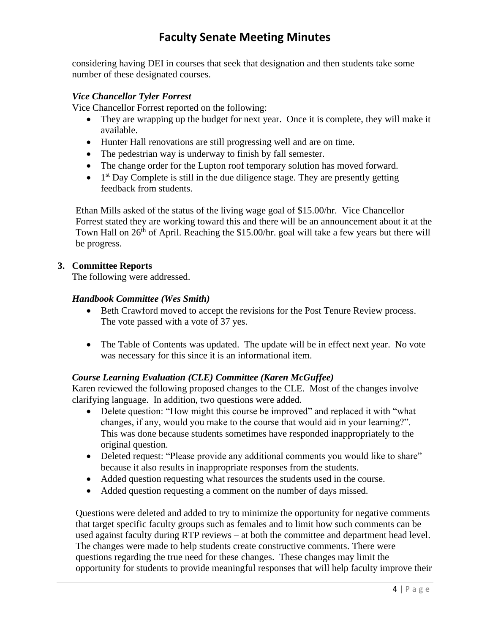considering having DEI in courses that seek that designation and then students take some number of these designated courses.

### *Vice Chancellor Tyler Forrest*

Vice Chancellor Forrest reported on the following:

- They are wrapping up the budget for next year. Once it is complete, they will make it available.
- Hunter Hall renovations are still progressing well and are on time.
- The pedestrian way is underway to finish by fall semester.
- The change order for the Lupton roof temporary solution has moved forward.
- $\bullet$  1<sup>st</sup> Day Complete is still in the due diligence stage. They are presently getting feedback from students.

Ethan Mills asked of the status of the living wage goal of \$15.00/hr. Vice Chancellor Forrest stated they are working toward this and there will be an announcement about it at the Town Hall on 26<sup>th</sup> of April. Reaching the \$15.00/hr. goal will take a few years but there will be progress.

#### **3. Committee Reports**

The following were addressed.

### *Handbook Committee (Wes Smith)*

- Beth Crawford moved to accept the revisions for the Post Tenure Review process. The vote passed with a vote of 37 yes.
- The Table of Contents was updated. The update will be in effect next year. No vote was necessary for this since it is an informational item.

## *Course Learning Evaluation (CLE) Committee (Karen McGuffee)*

Karen reviewed the following proposed changes to the CLE. Most of the changes involve clarifying language. In addition, two questions were added.

- Delete question: "How might this course be improved" and replaced it with "what changes, if any, would you make to the course that would aid in your learning?". This was done because students sometimes have responded inappropriately to the original question.
- Deleted request: "Please provide any additional comments you would like to share" because it also results in inappropriate responses from the students.
- Added question requesting what resources the students used in the course.
- Added question requesting a comment on the number of days missed.

Questions were deleted and added to try to minimize the opportunity for negative comments that target specific faculty groups such as females and to limit how such comments can be used against faculty during RTP reviews – at both the committee and department head level. The changes were made to help students create constructive comments. There were questions regarding the true need for these changes. These changes may limit the opportunity for students to provide meaningful responses that will help faculty improve their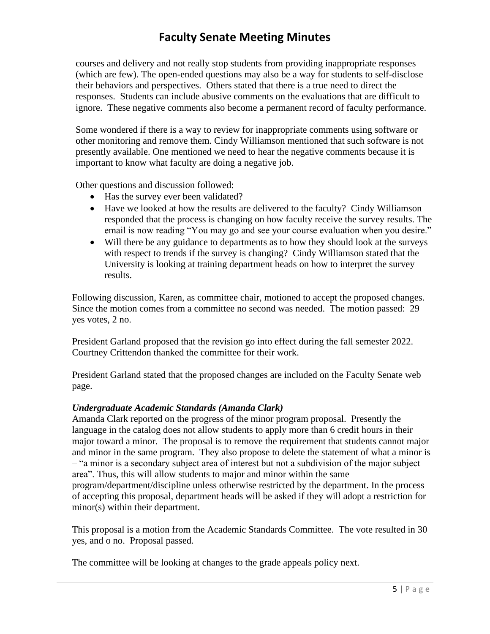courses and delivery and not really stop students from providing inappropriate responses (which are few). The open-ended questions may also be a way for students to self-disclose their behaviors and perspectives. Others stated that there is a true need to direct the responses. Students can include abusive comments on the evaluations that are difficult to ignore. These negative comments also become a permanent record of faculty performance.

Some wondered if there is a way to review for inappropriate comments using software or other monitoring and remove them. Cindy Williamson mentioned that such software is not presently available. One mentioned we need to hear the negative comments because it is important to know what faculty are doing a negative job.

Other questions and discussion followed:

- Has the survey ever been validated?
- Have we looked at how the results are delivered to the faculty? Cindy Williamson responded that the process is changing on how faculty receive the survey results. The email is now reading "You may go and see your course evaluation when you desire."
- Will there be any guidance to departments as to how they should look at the surveys with respect to trends if the survey is changing? Cindy Williamson stated that the University is looking at training department heads on how to interpret the survey results.

Following discussion, Karen, as committee chair, motioned to accept the proposed changes. Since the motion comes from a committee no second was needed. The motion passed: 29 yes votes, 2 no.

President Garland proposed that the revision go into effect during the fall semester 2022. Courtney Crittendon thanked the committee for their work.

President Garland stated that the proposed changes are included on the Faculty Senate web page.

## *Undergraduate Academic Standards (Amanda Clark)*

Amanda Clark reported on the progress of the minor program proposal. Presently the language in the catalog does not allow students to apply more than 6 credit hours in their major toward a minor. The proposal is to remove the requirement that students cannot major and minor in the same program. They also propose to delete the statement of what a minor is – "a minor is a secondary subject area of interest but not a subdivision of the major subject area". Thus, this will allow students to major and minor within the same program/department/discipline unless otherwise restricted by the department. In the process

of accepting this proposal, department heads will be asked if they will adopt a restriction for minor(s) within their department.

This proposal is a motion from the Academic Standards Committee. The vote resulted in 30 yes, and o no. Proposal passed.

The committee will be looking at changes to the grade appeals policy next.